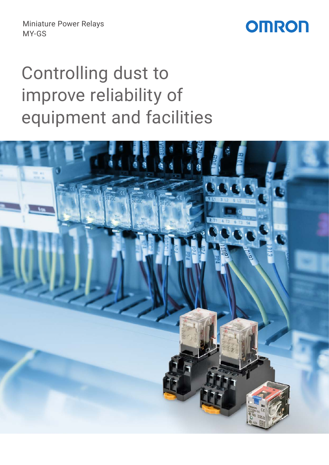Miniature Power Relays MY-GS

## **OMRON**

# Controlling dust to improve reliability of equipment and facilities

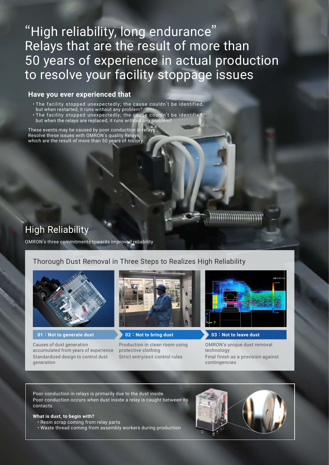## "High reliability, long endurance" Relays that are the result of more than 50 years of experience in actual production to resolve your facility stoppage issues

### **Have you ever experienced that**

- The facility stopped unexpectedly; the cause couldn't be identified, but when restarted, it runs without any problem?
- The facility stopped unexpectedly; the cause couldn't be identified, but when the relays are replaced, it runs without any problem?

These events may be caused by poor conduction in relays. Resolve these issues with OMRON's quality Relays, which are the result of more than 50 years of history.

### High Reliability

OMRON's three commitments towards improved reliability

### Thorough Dust Removal in Three Steps to Realizes High Reliability



Causes of dust generation accumulated from years of experience Standardized design to control dust generation



**01 : Not to generate dust 02 : Not to bring dust 03 : Not to leave dust**

Production in clean room using protective clothing Strict entry/exit control rules



OMRON's unique dust removal technology Final finish as a provision against contingencies

Poor conduction in relays is primarily due to the dust inside. Poor conduction occurs when dust inside a relay is caught between its contacts.

#### **What is dust, to begin with?**

• Resin scrap coming from relay parts

• Waste thread coming from assembly workers during production

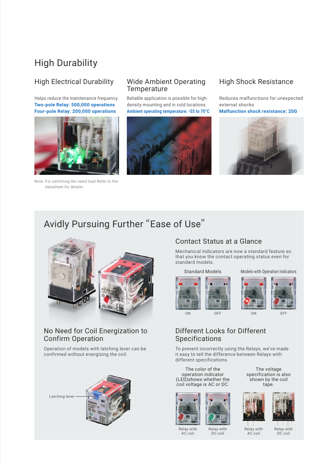### High Durability

Helps reduce the maintenance frequency. **Two-pole Relay: 500,000 operations Four-pole Relay: 200,000 operations**



Note. For switching the rated load.Refer to the datasheet for details.

### High Electrical Durability Wide Ambient Operating **Temperature**

Reliable application is possible for highdensity mounting and in cold locations. **Ambient operating temperature: -55 to 70°C**



### High Shock Resistance

Reduces malfunctions for unexpected external shocks

**Malfunction shock resistance: 20G**



### Avidly Pursuing Further "Ease of Use"



### No Need for Coil Energization to Confirm Operation

Operation of models with latching lever can be confirmed without energizing the coil.

Latching lever



### Contact Status at a Glance

Mechanical indicators are now a standard feature so that you know the contact operating status even for standard models.

#### Standard Models



Models with Operation Indicators



### Different Looks for Different Specifications

To prevent incorrectly using the Relays, we've made it easy to tell the difference between Relays with different specifications.

The color of the operation indicator (LED)shows whether the coil voltage is AC or DC.



Relay with AC coil

The voltage specification is also shown by the coil tape.



Relay with AC coil



Relay with DC coil

Relay with DC coil